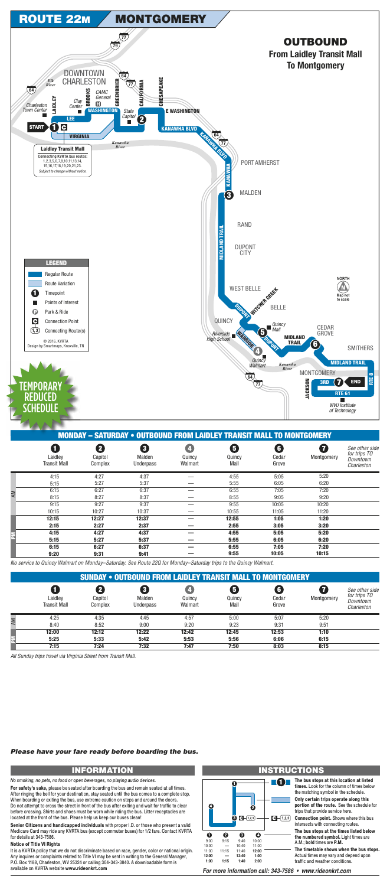

|                     |         | IVIUNDAT — SATUNDAT " UUTDUUND FNUM LAIDLET TNANSIT MALL TU MUNTGUMENT |         |        |       |            |                                |
|---------------------|---------|------------------------------------------------------------------------|---------|--------|-------|------------|--------------------------------|
| _aidley             | Capitol | Malden                                                                 | Quincv  | Quincv | Cedar | Montgomery | See other side<br>for trips TO |
| <b>Transit Mall</b> | Complex | Jnderpass                                                              | Walmart | Mall   | Grove |            | Downtown<br><i>Charleston</i>  |

|    | Transit Mall | Complex | Underpass | Walmart | Mall  | Grove |       | Charleston |
|----|--------------|---------|-----------|---------|-------|-------|-------|------------|
|    | 4:15         | 4:27    | 4:37      |         | 4:55  | 5:05  | 5:20  |            |
|    | 5:15         | 5:27    | 5:37      |         | 5:55  | 6:05  | 6:20  |            |
| AM | 6:15         | 6:27    | 6:37      |         | 6:55  | 7:05  | 7:20  |            |
|    | 8:15         | 8:27    | 8:37      |         | 8:55  | 9:05  | 9:20  |            |
|    | 9:15         | 9:27    | 9:37      |         | 9:55  | 10:05 | 10:20 |            |
|    | 10:15        | 10:27   | 10:37     |         | 10:55 | 11:05 | 11:20 |            |
|    | 12:15        | 12:27   | 12:37     |         | 12:55 | 1:05  | 1:20  |            |
|    | 2:15         | 2:27    | 2:37      |         | 2:55  | 3:05  | 3:20  |            |
|    | 4:15         | 4:27    | 4:37      |         | 4:55  | 5:05  | 5:20  |            |
| E  | 5:15         | 5:27    | 5:37      |         | 5:55  | 6:05  | 6:20  |            |
|    | 6:15         | 6:27    | 6:37      |         | 6:55  | 7:05  | 7:20  |            |
|    | 9:20         | 9:31    | 9:41      |         | 9:55  | 10:05 | 10:15 |            |

No service to Quincy Walmart on Monday-Saturday. See Route 22Q for Monday-Saturday trips to the Quincy Walmart.

|    | <b>SUNDAY • OUTBOUND FROM LAIDLEY TRANSIT MALL TO MONTGOMERY</b> |                         |                                     |                   |                     |                     |            |                                                          |  |  |
|----|------------------------------------------------------------------|-------------------------|-------------------------------------|-------------------|---------------------|---------------------|------------|----------------------------------------------------------|--|--|
|    | Laidley<br><b>Transit Mall</b>                                   | 2<br>Capitol<br>Complex | $\mathbf{3}$<br>Malden<br>Underpass | Quincy<br>Walmart | 6<br>Quincy<br>Mall | 6<br>Cedar<br>Grove | Montgomery | See other side<br>for trips TO<br>Downtown<br>Charleston |  |  |
| AM | 4:25                                                             | 4:35                    | 4:45                                | 4:57              | 5:00                | 5:07                | 5:20       |                                                          |  |  |
|    | 8:40                                                             | 8:52                    | 9:00                                | 9:20              | 9:23                | 9:31                | 9:51       |                                                          |  |  |
|    | 12:00                                                            | 12:12                   | 12:22                               | 12:42             | 12:45               | 12:53               | 1:10       |                                                          |  |  |
| E  | 5:25                                                             | 5:33                    | 5:42                                | 5:53              | 5:56                | 6:06                | 6:15       |                                                          |  |  |
|    | 7:15                                                             | 7:24                    | 7:32                                | 7:47              | 7:50                | 8:03                | 8:15       |                                                          |  |  |

All Sunday trips travel via Virginia Street from Transit Mall.

### Please have your fare ready before boarding the bus.

## **INFORMATION**

No smoking, no pets, no food or open beverages, no playing audio devices.

For safety's sake, please be seated after boarding the bus and remain seated at all times. After ringing the bell for your destination, stay seated until the bus comes to a complete stop. When boarding or exiting the bus, use extreme caution on steps and around the doors. Do not attempt to cross the street in front of the bus after exiting and wait for traffic to clear before crossing. Shirts and shoes must be worn while riding the bus. Litter receptacles are located at the front of the bus. Please help us keep our buses clean!

Senior Citizens and handicapped individuals with proper I.D. or those who present a valid Medicare Card may ride any KVRTA bus (except commuter buses) for 1/2 fare. Contact KVRTA for details at 343-7586.

### **Notice of Title VI Rights**

It is a KVRTA policy that we do not discriminate based on race, gender, color or national origin. Any inquires or complaints related to Title VI may be sent in writing to the General Manager, P.O. Box 1188, Charleston, WV 25324 or calling 304-343-3840. A downloadable form is available on KVRTA website www.rideonkrt.com

#### ٦ Ø  $\odot$   $\Box$  (1,2,3)  $\mathbf{C}$  -  $(1,2,3)$  $\mathbf 0$ ❷ ❸  $\mathbf 0$  $9:00$  $9:15$  $9:40$ 10:00  $10:00$ 10:40 11:00 11:00  $11:15$ 11:40 12:00 12:00 12:40  $1:00$  $1:15$  $1:40$  $2:00$  $1:00$

# **INSTRUCTIONS**

The bus stops at this location at listed times. Look for the column of times below the matching symbol in the schedule.

Only certain trips operate along this portion of the route. See the schedule for trips that provide service here.

Connection point. Shows where this bus intersects with connecting routes.

The bus stops at the times listed below the numbered symbol. Light times are A.M.; bold times are P.M.

The timetable shows when the bus stops. Actual times may vary and depend upon traffic and weather conditions.

For more information call: 343-7586 • www.rideonkrt.com